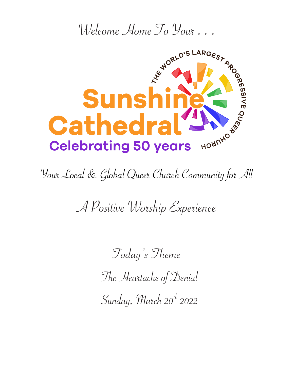

Your Local & Global Queer Church Community for All

A Positive Worship Experience

Today's Theme

The Heartache of Denial

Sunday, March 20<sup>th</sup> 2022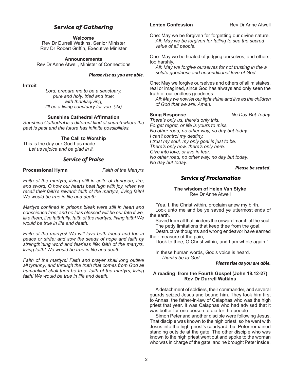### *Service of Gathering*

**Welcome**

Rev Dr Durrell Watkins, Senior Minister Rev Dr Robert Griffin, Executive Minister

**Announcements**  Rev Dr Anne Atwell, Minister of Connections

#### *Please rise as you are able.*

**Introit** 

*Lord, prepare me to be a sanctuary, pure and holy, tried and true; with thanksgiving, I'll be a living sanctuary for you. (2x)*

#### **Sunshine Cathedral Affirmation**

*Sunshine Cathedral is a different kind of church where the past is past and the future has infinite possibilities.*

**The Call to Worship**

This is the day our God has made. *Let us rejoice and be glad in it.*

#### *Service of Praise*

**Processional Hymn** *Faith of the Martyrs*

*Faith of the martyrs, living still in spite of dungeon, fire, and sword; O how our hearts beat high with joy, when we recall their faith's reward: faith of the martyrs, living faith! We would be true in life and death.*

*Martyrs confined in prisons bleak were still in heart and conscience free; and no less blessed will be our fate if we, like them, live faithfully: faith of the martyrs, living faith! We would be true in life and death.*

*Faith of the martyrs! We will love both friend and foe in peace or strife; and sow the seeds of hope and faith by strength'ning word and fearless life: faith of the martyrs, living faith! We would be true in life and death.*

*Faith of the martyrs! Faith and prayer shall long outlive all tyranny; and through the truth that comes from God all humankind shall then be free: faith of the martyrs, living faith! We would be true in life and death.*

**Lenten Confession Rev Dr Anne Atwell** 

One: May we be forgiven for forgetting our divine nature. *All: May we be forgiven for failing to see the sacred value of all people.* 

One: May we be healed of judging ourselves, and others, too harshly.

*All: May we forgive ourselves for not trusting in the a solute goodness and unconditional love of God.* 

One: May we forgive ourselves and others of all mistakes, real or imagined, since God has always and only seen the truth of our endless goodness.

*All: May we now let our light shine and live as the children of God that we are. Amen.*

**Sung Response** *No Day But Today* 

*There's only us, there's only this. Forget regret, or life is yours to miss. No other road, no other way, no day but today. I can't control my destiny. I trust my soul, my only goal is just to be. There's only now, there's only here. Give into love, or live in fear. No other road, no other way, no day but today. No day but today.*

*Please be seated.*

### *Service of Proclamation*

**The wisdom of Helen Van Slyke** Rev Dr Anne Atwell

"Yea, I, the Christ within, proclaim anew my birth.

Look unto me and be ye saved ye uttermost ends of the earth.

Saved from all that hinders the onward march of the soul, The petty limitations that keep thee from the goal.

Destructive thoughts and wrong endeavor have earned their measure of the pain,

I look to thee, O Christ within, and I am whole again."

In these human words, God's voice is heard. *Thanks be to God.*

#### *Please rise as you are able.*

#### **A reading from the Fourth Gospel (John 18.12-27) Rev Dr Durrell Watkins**

A detachment of soldiers, their commander, and several guards seized Jesus and bound him. They took him first to Annas, the father-in-law of Caiaphas who was the high priest that year. It was Caiaphas who had advised that it was better for one person to die for the people.

Simon Peter and another disciple were following Jesus. That disciple was known to the high priest, so he went with Jesus into the high priest's courtyard, but Peter remained standing outside at the gate. The other disciple who was known to the high priest went out and spoke to the woman who was in charge of the gate, and he brought Peter inside.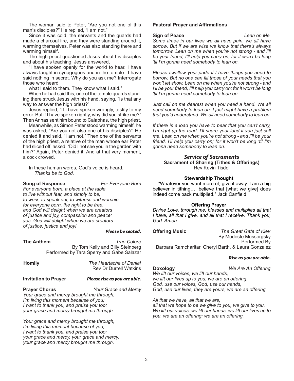The woman said to Peter, "Are you not one of this man's disciples?" He replied, "I am not."

Since it was cold, the servants and the guards had made a charcoal fire, and they were standing around it, warming themselves. Peter was also standing there and warming himself.

The high priest questioned Jesus about his disciples and about his teaching. Jesus answered,

"I have spoken openly for the world to hear. I have always taught in synagogues and in the temple...I have said nothing in secret. Why do you ask me? Interrogate those who heard

what I said to them. They know what I said."

When he had said this, one of the temple guards standing there struck Jesus with his hand, saying, "Is that any way to answer the high priest?"

Jesus replied, "If I have spoken wrongly, testify to my error. But if I have spoken rightly, why did you strike me?" Then Annas sent him bound to Caiaphas, the high priest.

Meanwhile, as Simon Peter stood warming himself, he was asked, "Are you not also one of his disciples?" He denied it and said, "I am not." Then one of the servants of the high priest, a relative of the man whose ear Peter had sliced off, asked, "Did I not see you in the garden with him?" Again, Peter denied it. And at that very moment, a cock crowed.

In these human words, God's voice is heard. *Thanks be to God.*

**Song of Response** *For Everyone Born* 

*For everyone born, a place at the table, to live without fear, and simply to be, to work, to speak out, to witness and worship, for everyone born, the right to be free, and God will delight when we are creators of justice and joy, compassion and peace: yes, God will delight when we are creators of justice, justice and joy!*

#### *Please be seated.*

**The Anthem** *True Colors* By Tom Kelly and Billy Steinberg Performed by Tara Sperry and Gabe Salazar

**Homily** *The Heartache of Denial* Rev Dr Durrell Watkins

#### **Invitation to Prayer** *Please rise as you are able.*

**Prayer Chorus** *Your Grace and Mercy Your grace and mercy brought me through, I'm living this moment because of you; I want to thank you, and praise you too: your grace and mercy brought me through.*

*Your grace and mercy brought me through, I'm living this moment because of you; I want to thank you, and praise you too: your grace and mercy, your grace and mercy, your grace and mercy brought me through.*

#### **Pastoral Prayer and Affirmations**

**Sign of Peace** *Lean on Me Some times in our lives we all have pain, we all have sorrow. But if we are wise we know that there's always tomorrow. Lean on me when you're not strong - and I'll be your friend, I'll help you carry on; for it won't be long 'til I'm gonna need somebody to lean on.*

*Please swallow your pride if I have things you need to borrow. But no one can fill those of your needs that you won't let show. Lean on me when you're not strong - and I'll be your friend, I'll help you carry on; for it won't be long 'til I'm gonna need somebody to lean on.*

*Just call on me dearest when you need a hand. We all need somebody to lean on. I just might have a problem that you'd understand. We all need somebody to lean on.*

*If there is a load you have to bear that you can't carry, I'm right up the road, I'll share your load if you just call me. Lean on me when you're not strong - and I'll be your friend, I'll help you carry on; for it won't be long 'til I'm gonna need somebody to lean on.*

# *Service of Sacraments*

**Sacrament of Sharing (Tithes & Offerings)** Rev Kevin Tisdol

#### **Stewardship Thought**

"Whatever you want more of, give it away. I am a big believer in tithing…I believe that [what we give] does indeed come back multiplied." Jack Canfield

#### **Offering Prayer**

*Divine Love, through me, blesses and multiplies all that I have, all that I give, and all that I receive. Thank you, God. Amen.*

#### **Offering Music** *The Great Gate of Kiev*

By Modeste Mussorgsky Performed By Barbara Ramcharitar, Cheryl Barth, & Laura Gonzalez

#### *Rise as you are able.*

**Doxology** *We Are An Offering* 

*We lift our voices, we lift our hands, we lift our lives up to you, we are an offering. God, use our voices, God, use our hands, God, use our lives, they are yours, we are an offering.* 

*All that we have, all that we are,* 

*all that we hope to be we give to you, we give to you. We lift our voices, we lift our hands, we lift our lives up to you, we are an offering; we are an offering.*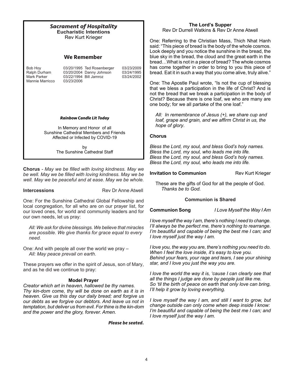|                                                                                                          | <b>Sacrament of Hospitality</b><br><b>Eucharistic Intentions</b><br><b>Rev Kurt Krieger</b>    |                                        |  |  |  |  |  |
|----------------------------------------------------------------------------------------------------------|------------------------------------------------------------------------------------------------|----------------------------------------|--|--|--|--|--|
| <b>We Remember</b>                                                                                       |                                                                                                |                                        |  |  |  |  |  |
| <b>Bob Hov</b><br>Ralph Durham<br>Mark Parker<br>Mannie Marricco                                         | 03/20/1995 Ted Rosenberger<br>03/20/2004 Danny Johnson<br>03/22/1994 Bill Jamroz<br>03/23/2006 | 03/23/2009<br>03/24/1995<br>03/24/2002 |  |  |  |  |  |
| Rainbow Candle Lit Today                                                                                 |                                                                                                |                                        |  |  |  |  |  |
| In Memory and Honor of all<br>Sunshine Cathedral Members and Friends<br>Affected or Infected by COVID-19 |                                                                                                |                                        |  |  |  |  |  |
|                                                                                                          | by<br>The Sunshine Cathedral Staff                                                             |                                        |  |  |  |  |  |

**Chorus** *- May we be filled with loving kindness. May we be well. May we be filled with loving kindness. May we be well. May we be peaceful and at ease. May we be whole.*

**Intercessions** Rev Dr Anne Atwell

One: For the Sunshine Cathedral Global Fellowship and local congregation, for all who are on our prayer list, for our loved ones, for world and community leaders and for our own needs, let us pray:

*All: We ask for divine blessings. We believe that miracles are possible. We give thanks for grace equal to every need.*

One: And with people all over the world we pray – *All: May peace prevail on earth.*

These prayers we offer in the spirit of Jesus, son of Mary, and as he did we continue to pray:

#### **Model Prayer**

*Creator which art in heaven, hallowed be thy names. Thy kin-dom come, thy will be done on earth as it is in heaven. Give us this day our daily bread; and forgive us our debts as we forgive our debtors. And leave us not in temptation, but deliver us from evil. For thine is the kin-dom and the power and the glory, forever. Amen.*

*Please be seated.*

#### **The Lord's Supper** Rev Dr Durrell Watkins & Rev Dr Anne Atwell

One: Referring to the Christian Mass, Thich Nhat Hanh said: "This piece of bread is the body of the whole cosmos. Look deeply and you notice the sunshine in the bread, the blue sky in the bread, the cloud and the great earth in the bread…What is not in a piece of bread? The whole cosmos has come together in order to bring to you this piece of bread. Eat it in such a way that you come alive, truly alive."

One: The Apostle Paul wrote, "Is not the cup of blessing that we bless a participation in the life of Christ? And is not the bread that we break a participation in the body of Christ? Because there is one loaf, we who are many are one body; for we all partake of the one loaf."

*All: In remembrance of Jesus (+), we share cup and loaf, grape and grain, and we affirm Christ in us, the hope of glory*.

#### **Chorus**

*Bless the Lord, my soul, and bless God's holy names. Bless the Lord, my soul, who leads me into life. Bless the Lord, my soul, and bless God's holy names. Bless the Lord, my soul, who leads me into life.*

### **Invitation to Communion Rev Kurt Krieger**

These are the gifts of God for all the people of God. *Thanks be to God.*

#### **Communion is Shared**

**Communion Song** *I Love Myself the Way I Am*

*I love myself the way I am, there's nothing I need to change. I'll always be the perfect me, there's nothing to rearrange. I'm beautiful and capable of being the best me I can; and I love myself just the way I am.*

*I love you, the way you are, there's nothing you need to do. When I feel the love inside, it's easy to love you. Behind your fears, your rage and tears, I see your shining star, and I love you just the way you are.*

*I love the world the way it is, 'cause I can clearly see that all the things I judge are done by people just like me. So 'til the birth of peace on earth that only love can bring, I'll help it grow by loving everything.*

*I love myself the way I am, and still I want to grow, but change outside can only come when deep inside I know: I'm beautiful and capable of being the best me I can; and I love myself just the way I am.*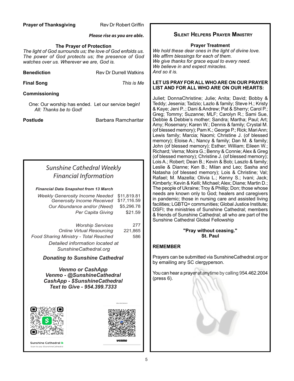#### **Prayer of Thanksgiving Rev Dr Robert Griffin**

#### *Please rise as you are able.*

#### **The Prayer of Protection**

*The light of God surrounds us; the love of God enfolds us. The power of God protects us; the presence of God watches over us. Wherever we are, God is.*

| Benediction |  |  |  |
|-------------|--|--|--|

**Rev Dr Durrell Watkins** 

**Final Song** *This is Me*

#### **Commissioning**

One: Our worship has ended. Let our service begin! *All: Thanks be to God!*

**Postlude Barbara Ramcharitar** 

# *Sunshine Cathedral Weekly Financial Information*

#### *Financial Data Snapshot from 13 March*

| <b>Weekly Generosity Income Needed</b><br>Generosity Income Received | \$11,819.81<br>\$17,116.59 |
|----------------------------------------------------------------------|----------------------------|
| Our Abundance and/or (Need)                                          | \$5,296.78                 |
| Per Capita Giving                                                    | \$21.59                    |
|                                                                      |                            |
| <b>Worship Services</b>                                              | 277                        |
| <b>Online Virtual Resourcing</b>                                     | 221,865                    |
| Food Sharing Ministry - Total Reached                                | 586                        |
| Detailed information located at                                      |                            |
| SunshineCathedral.org                                                |                            |

*Donating to Sunshine Cathedral* 

*Venmo or CashApp Venmo - @SunshineCathedral CashApp - \$SunshineCathedral Text to Give - 954.399.7333*





Sunshine Cathedral B Scan to pay \$SunshineCathedral

### **Silent Helpers Prayer Ministry**

#### **Prayer Treatment**

*We hold these dear ones in the light of divine love. We affirm blessings for each of them. We give thanks for grace equal to every need. We believe in and expect miracles. And so it is.* 

#### **LET US PRAY FOR ALL WHO ARE ON OUR PRAYER LIST AND FOR ALL WHO ARE ON OUR HEARTS:**

Juliet; DonnaChristine; Julie; Anita; David; Bobby & Teddy; Jesenia; Tadzio; Lazlo & family; Steve H.; Kristy & Kaye; Jeni P..; Dani & Andrew; Pat & Sherry; Carol P.; Greg; Tommy; Suzanne; MLF; Carolyn R.; Sami Sue, Debbie & Debbie's mother; Sandra; Martha; Paul; Art; Amy; Rosemary; Karen W.; Dennis & family; Crystal M. (of blessed memory); Pam K.; George P.; Rick; Mari Ann; Lewis family; Marcia; Naomi; Christine J. (of blessed memory); Eloise A.; Nancy & family; Dan M. & family; John (of blessed memory); Esther; William; Eileen W.; Richard; Verna; Moira G.; Benny & Connie; Alex & Greg (of blessed memory); Christine J. (of blessed memory); Lois A.; Robert; Dean B.; Kevin & Bob; Laszlo & family; Leslie & Dianne; Ken B.; Milan and Leo; Sasha and Natasha (of blessed memory); Lois & Christine; Val; Rafael; M. Mazella; Olivia L.; Kenny S.; Ivani; Jack; Kimberly; Kevin & Kelli; Michael; Alex; Diane; Martin D.; The people of Ukraine; Troy & Phillip; Don; those whose needs are known only to God; healers and caregivers in pandemic; those in nursing care and assisted living facilities; LGBTQ+ communities; Global Justice Institute; DSFI; the ministries of Sunshine Cathedral; members & friends of Sunshine Cathedral; all who are part of the Sunshine Cathedral Global Fellowship

#### **"Pray without ceasing." St. Paul**

#### **REMEMBER**

Prayers can be submitted via SunshineCathedral.org or by emailing any SC clergyperson.

You can hear a prayer at anytime by calling 954.462.2004 (press 6).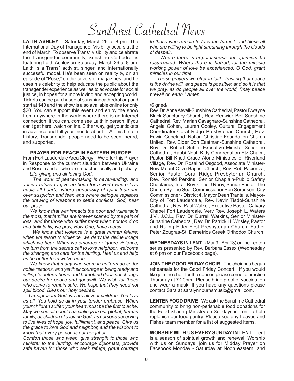# SunBurst Cathedral News

**LAITH ASHLEY** – Saturday, March 26 at 8 pm. The International Day of Transgender Visibility occurs at the end of March. To observe Trans\* visibility and celebrate the Transgender community, Sunshine Cathedral is featuring Laith Ashley on Saturday, March 26 at 8 pm. Laith is a Trans\* activist, singer, and internationally successful model. He's been seen on reality tv, on an episode of "Pose," on the covers of magazines, and he uses his celebrity to help educate the public about the transgender experience as well as to advocate for social justice, in hopes for a more loving and accepting world. Tickets can be purchased at sunshinecathedral.org and start at \$40 and the show is also available online for only \$20. You can support this event and enjoy the show from anywhere in the world where there is an Internet connection! If you can, come see Laith in person. If you can't get here, watch online. Either way, get your tickets in advance and tell your friends about it. At this time in history, Transgender people need to be seen, heard, and supported.

#### **PRAYER FOR PEACE IN EASTERN EUROPE**

From Fort Lauderdale Area Clergy – We offer this Prayer in Response to the current situation between Ukraine and Russia and all who are impacted locally and globally:

*Life-giving and all-loving God,*

 *The work of peace-making is never-ending, and yet we refuse to give up hope for a world where love heals all hearts, where generosity of spirit triumphs over suspicion and fear, and where dialogue replaces the drawing of weapons to settle conflicts. God, hear our prayer.*

 *We know that war impacts the poor and vulnerable the most, that families are forever scarred by the pain of loss, and for those who suffer most when bombs drop and bullets fly, we pray, Holy One, have mercy.*

 *We know that violence is a great human failure; when we resort to violence, we deny the divine image which we bear. When we embrace or ignore violence, we turn from the sacred call to love neighbor, welcome the stranger, and care for the hurting. Heal us and help us be better than we've been.*

 *We know that many who serve in uniform do so for noble reasons, and yet their courage in being ready and willing to defend home and homeland does not change our desire for peace and goodwill. We wish for those who serve to remain safe. We hope that they need not spill blood. Bless our holy desires.*

 *Omnipresent God, we are all your children. You love us all. You hold us all in your tender embrace. When your children suffer, your heart must be the first to ache. May we see all people as siblings in our global, human family, as children of a loving God, as persons deserving to live lives of hope, joy, fulfillment, and peace. Give us the grace to love God and neighbor, and the wisdom to know that every person is our neighbor.*

*Comfort those who weep, give strength to those who minister to the hurting, encourage diplomats, provide safe haven for those who seek refuge, grant courage* 

*to those who remain to face the turmoil, and bless all who are willing to be light streaming through the clouds of despair.*

 *Where there is hopelessness, let optimism be resurrected. Where there is hatred, let the miracle working power of love be experienced. O God, grant miracles in our time.*

 *These prayers we offer in faith, trusting that peace is the divine will, and peace is possible; and so it is that we pray, as do people all over the world, "may peace prevail on earth." Amen.*

#### /Signed/

Rev. Dr. Anne Atwell-Sunshine Cathedral, Pastor Dwayne Black-Sanctuary Church, Rev. Renwick Bell-Sunshine Cathedral, Rev. Marian Cavagnaro-Sunshine Cathedral, Angela Cohen, Lauren Cooley, Cultural Engagement Coordinator-Coral Ridge Presbyterian Church, Rev. Edwin Copeland, Nation Christian Foundation-Church United, Rev. Elder Don Eastman-Sunshine Cathedral, Rev. Dr. Robert Griffin, Executive Minister-Sunshine Cathedral, Rabbi Noah Kitty-Congregation Etz Chaim, Pastor Bill Knott-Grace Alone Ministries of Riverland Village, Rev. Dr. Rosalind Osgood, Associate Minister-New Mount Olive Baptist Church, Rev. Rob Pacienza, Senior Pastor-Coral Ridge Presbyterian Church, Rev. Ronald Perkins, Senior Chaplain-Public Safety Chaplaincy, Inc. , Rev. Chris J Reny, Senior Pastor-The Church By The Sea, Commissioner Ben Sorensen, City Commissioner - District 4, Mayor Dean Trantalis, Mayor-City of Fort Lauderdale, Rev. Kevin Tisdol-Sunshine Cathedral, Rev. Paul Walker, Executive Pastor-Calvary Chapel Fort Lauderdale, Very Rev. Joseph L. Waters J.V., J.C.L., Rev. Dr. Durrell Watkins, Senior Minister-Sunshine Cathedral, Rev. Dr. Patrick H. Wrisley, Pastor and Ruling Elder-First Presbyterian Church, Father Peter Zougras-St. Demetrios Greek Orthodox Church

**WEDNESDAYS IN LENT** - (Mar 9 - Apr 13) online Lenten series presented by Rev. Barbara Essex (Wednesday at 6 pm on our Facebook page).

**JOIN THE GOOD FRIDAY CHOIR** - The choir has begun rehearsals for the Good Friday Concert. If you would like join the choir for the concert please come to practice Thursday at 7:20pm. Please bring proof of vaccination and wear a mask. If you have any questions please contact Sara at saralynnburnsmusic@gmail.com.

**LENTEN FOOD DRIVE** - We ask the Sunshine Cathedral community to bring non-perishable food donations for the Food Sharing Ministry on Sundays in Lent to help replenish our food pantry. Please see any Loaves and Fishes team member for a list of suggested items.

**WORSHIP WITH US EVERY SUNDAY IN LENT** - Lent is a season of spiritual growth and renewal. Worship with us on Sundays, join us for Midday Prayer on Facebook Monday - Saturday at Noon eastern, and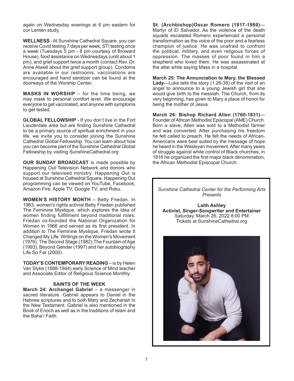again on Wednesday evenings at 6 pm eastern for our Lenten study.

**WELLNESS** - At Sunshine Cathedral Square, you can receive Covid testing 7 days per week, STI testing once a week (Tuesdays 5 pm - 8 pm courtesy of Broward House), food assistance on Wednesdays (until about 1 pm), and grief support twice a month (contact Rev. Dr. Anne Atwell about the grief support group). Condoms are available in our restrooms, vaccinations are encouraged and hand sanitizer can be found at the doorways of the Worship Center.

**MASKS IN WORSHIP** – for the time being, we may mask to personal comfort level. We encourage everyone to get vaccinated, and anyone with symptoms to get tested.

**GLOBAL FELLOWSHIP** - If you don't live in the Fort Lauderdale area but are finding Sunshine Cathedral to be a primary source of spiritual enrichment in your life, we invite you to consider joining the Sunshine Cathedral Global Fellowship. You can learn about how you can become part of the Sunshine Cathedral Global Fellowship by visiting SunshineCathedral.org

**OUR SUNDAY BROADCAST** is made possible by Happening Out Television Network and donors who support our televised ministry. Happening Out is housed at Sunshine Cathedral Square. Happening Out programming can be viewed on YouTube, Facebook, Amazon Fire, Apple TV, Google TV, and Roku.

**WOMEN'S HISTORY MONTH** – Betty Friedan. In 1963, women's rights activist Betty Friedan published The Feminine Mystique, which explores the idea of women finding fulfillment beyond traditional roles. Friedan co-founded the National Organization for Women in 1966 and served as its first president. In addition to The Feminine Mystique, Friedan wrote It Changed My Life: Writings on the Women's Movement (1976), The Second Stage (1982),The Fountain of Age (1993), Beyond Gender (1997) and her autobiography Life So Far (2000).

**TODAY'S CONTEMPORARY READING** – is by Helen Van Slyke (1888-1944) early Science of Mind teacher and Associate Editor of Religious Science Monthly.

#### **SAINTS OF THE WEEK**

**March 24: Archangel Gabriel – a messenger in** sacred literature. Gabriel appears to Daniel in the Hebrew scriptures and to both Mary and Zechariah in the New Testament. Gabriel is also mentioned in the Book of Enoch as well as in the traditions of Islam and the Baha'i Faith.

**St. (Archbishop)Oscar Romero (1917-1980)**— Martyr of El Salvador. As the violence of the death squads escalated Romero experienced a personal transformation as the voice of the poor and a fearless champion of justice. He was unafraid to confront the political, military, and even religious forces of oppression. The masses of poor found in him a shepherd who loved them. He was assassinated at the altar while saying Mass in a hospital.

**March 25: The Annunciation to Mary, the Blessed Lady**—Luke tells the story (1:26-38) of the visit of an angel to announce to a young Jewish girl that she would give birth to the messiah. The Church, from its very beginning, has given to Mary a place of honor for being the mother of Jesus.

**March 26: Bishop Richard Allen (1760-1831)**— Founder of African Methodist Episcopal (AME) Church. Born a slave, Allen was sold to a Methodist farmer and was converted. After purchasing his freedom he felt called to preach. He felt the needs of African-Americans were best suited by the message of hope he heard in the Wesleyan movement. After many years of struggle against white control of Black churches, in 1816 he organized the first major black denomination, the African Methodist Episcopal Church.